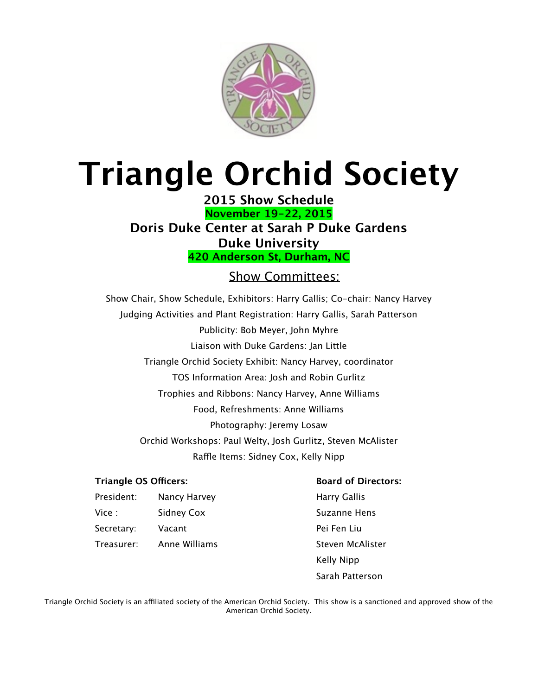

# **Triangle Orchid Society**

**2015 Show Schedule November 19-22, 2015 Doris Duke Center at Sarah P Duke Gardens Duke University 420 Anderson St, Durham, NC**

#### Show Committees:

Show Chair, Show Schedule, Exhibitors: Harry Gallis; Co-chair: Nancy Harvey Judging Activities and Plant Registration: Harry Gallis, Sarah Patterson Publicity: Bob Meyer, John Myhre Liaison with Duke Gardens: Jan Little Triangle Orchid Society Exhibit: Nancy Harvey, coordinator TOS Information Area: Josh and Robin Gurlitz Trophies and Ribbons: Nancy Harvey, Anne Williams Food, Refreshments: Anne Williams Photography: Jeremy Losaw Orchid Workshops: Paul Welty, Josh Gurlitz, Steven McAlister Raffle Items: Sidney Cox, Kelly Nipp

#### **Triangle OS Officers: Board of Directors:**

President: Nancy Harvey **Example 28 Harry Gallis** Vice : Sidney Cox Suzanne Hens Secretary: Vacant 

 Pei Fen Liu

Treasurer: Anne Williams 

 Steven McAlister Kelly Nipp 

Sarah Patterson

Triangle Orchid Society is an affiliated society of the American Orchid Society. This show is a sanctioned and approved show of the American Orchid Society.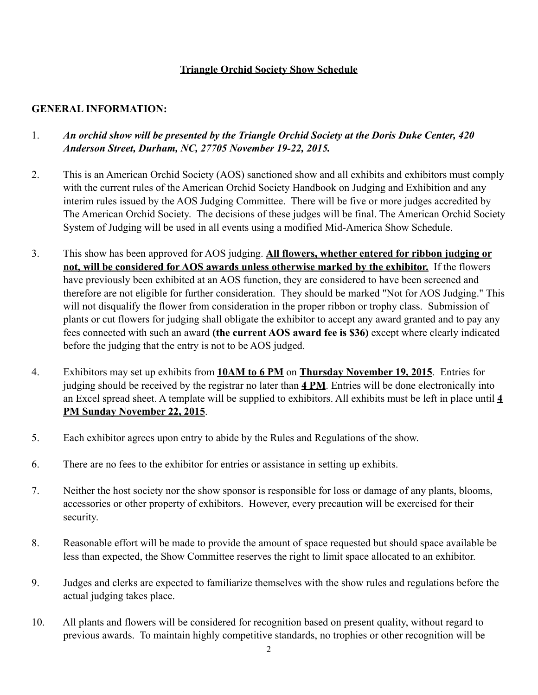#### **Triangle Orchid Society Show Schedule**

#### **GENERAL INFORMATION:**

#### 1. *An orchid show will be presented by the Triangle Orchid Society at the Doris Duke Center, 420 Anderson Street, Durham, NC, 27705 November 19-22, 2015.*

- 2. This is an American Orchid Society (AOS) sanctioned show and all exhibits and exhibitors must comply with the current rules of the American Orchid Society Handbook on Judging and Exhibition and any interim rules issued by the AOS Judging Committee. There will be five or more judges accredited by The American Orchid Society. The decisions of these judges will be final. The American Orchid Society System of Judging will be used in all events using a modified Mid-America Show Schedule.
- 3. This show has been approved for AOS judging. **All flowers, whether entered for ribbon judging or not, will be considered for AOS awards unless otherwise marked by the exhibitor.** If the flowers have previously been exhibited at an AOS function, they are considered to have been screened and therefore are not eligible for further consideration. They should be marked "Not for AOS Judging." This will not disqualify the flower from consideration in the proper ribbon or trophy class. Submission of plants or cut flowers for judging shall obligate the exhibitor to accept any award granted and to pay any fees connected with such an award **(the current AOS award fee is \$36)** except where clearly indicated before the judging that the entry is not to be AOS judged.
- 4. Exhibitors may set up exhibits from **10AM to 6 PM** on **Thursday November 19, 2015**. Entries for judging should be received by the registrar no later than **4 PM**. Entries will be done electronically into an Excel spread sheet. A template will be supplied to exhibitors. All exhibits must be left in place until **4 PM Sunday November 22, 2015**.
- 5. Each exhibitor agrees upon entry to abide by the Rules and Regulations of the show.
- 6. There are no fees to the exhibitor for entries or assistance in setting up exhibits.
- 7. Neither the host society nor the show sponsor is responsible for loss or damage of any plants, blooms, accessories or other property of exhibitors. However, every precaution will be exercised for their security.
- 8. Reasonable effort will be made to provide the amount of space requested but should space available be less than expected, the Show Committee reserves the right to limit space allocated to an exhibitor.
- 9. Judges and clerks are expected to familiarize themselves with the show rules and regulations before the actual judging takes place.
- 10. All plants and flowers will be considered for recognition based on present quality, without regard to previous awards. To maintain highly competitive standards, no trophies or other recognition will be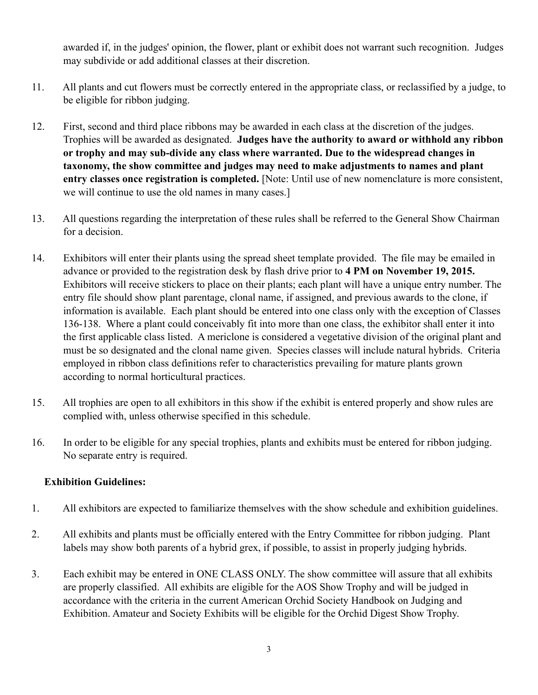awarded if, in the judges' opinion, the flower, plant or exhibit does not warrant such recognition. Judges may subdivide or add additional classes at their discretion.

- 11. All plants and cut flowers must be correctly entered in the appropriate class, or reclassified by a judge, to be eligible for ribbon judging.
- 12. First, second and third place ribbons may be awarded in each class at the discretion of the judges. Trophies will be awarded as designated. **Judges have the authority to award or withhold any ribbon or trophy and may sub-divide any class where warranted. Due to the widespread changes in taxonomy, the show committee and judges may need to make adjustments to names and plant entry classes once registration is completed.** [Note: Until use of new nomenclature is more consistent, we will continue to use the old names in many cases.]
- 13. All questions regarding the interpretation of these rules shall be referred to the General Show Chairman for a decision.
- 14. Exhibitors will enter their plants using the spread sheet template provided. The file may be emailed in advance or provided to the registration desk by flash drive prior to **4 PM on November 19, 2015.**  Exhibitors will receive stickers to place on their plants; each plant will have a unique entry number. The entry file should show plant parentage, clonal name, if assigned, and previous awards to the clone, if information is available. Each plant should be entered into one class only with the exception of Classes 136-138. Where a plant could conceivably fit into more than one class, the exhibitor shall enter it into the first applicable class listed. A mericlone is considered a vegetative division of the original plant and must be so designated and the clonal name given. Species classes will include natural hybrids. Criteria employed in ribbon class definitions refer to characteristics prevailing for mature plants grown according to normal horticultural practices.
- 15. All trophies are open to all exhibitors in this show if the exhibit is entered properly and show rules are complied with, unless otherwise specified in this schedule.
- 16. In order to be eligible for any special trophies, plants and exhibits must be entered for ribbon judging. No separate entry is required.

#### **Exhibition Guidelines:**

- 1. All exhibitors are expected to familiarize themselves with the show schedule and exhibition guidelines.
- 2. All exhibits and plants must be officially entered with the Entry Committee for ribbon judging. Plant labels may show both parents of a hybrid grex, if possible, to assist in properly judging hybrids.
- 3. Each exhibit may be entered in ONE CLASS ONLY. The show committee will assure that all exhibits are properly classified. All exhibits are eligible for the AOS Show Trophy and will be judged in accordance with the criteria in the current American Orchid Society Handbook on Judging and Exhibition. Amateur and Society Exhibits will be eligible for the Orchid Digest Show Trophy.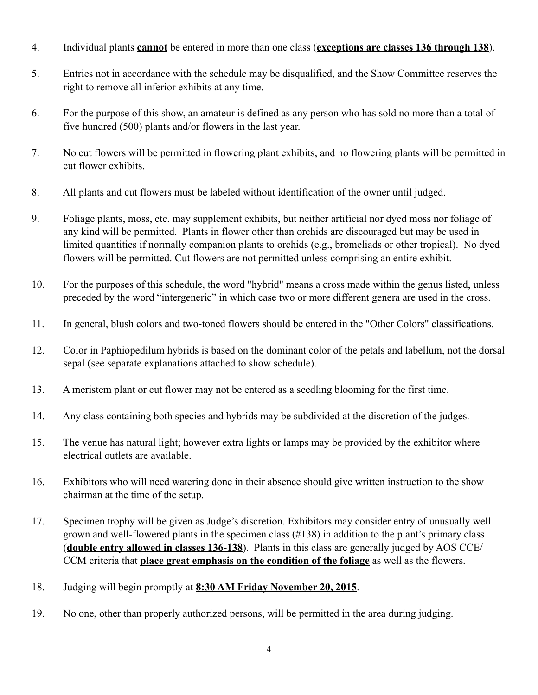- 4. Individual plants **cannot** be entered in more than one class (**exceptions are classes 136 through 138**).
- 5. Entries not in accordance with the schedule may be disqualified, and the Show Committee reserves the right to remove all inferior exhibits at any time.
- 6. For the purpose of this show, an amateur is defined as any person who has sold no more than a total of five hundred (500) plants and/or flowers in the last year.
- 7. No cut flowers will be permitted in flowering plant exhibits, and no flowering plants will be permitted in cut flower exhibits.
- 8. All plants and cut flowers must be labeled without identification of the owner until judged.
- 9. Foliage plants, moss, etc. may supplement exhibits, but neither artificial nor dyed moss nor foliage of any kind will be permitted. Plants in flower other than orchids are discouraged but may be used in limited quantities if normally companion plants to orchids (e.g., bromeliads or other tropical). No dyed flowers will be permitted. Cut flowers are not permitted unless comprising an entire exhibit.
- 10. For the purposes of this schedule, the word "hybrid" means a cross made within the genus listed, unless preceded by the word "intergeneric" in which case two or more different genera are used in the cross.
- 11. In general, blush colors and two-toned flowers should be entered in the "Other Colors" classifications.
- 12. Color in Paphiopedilum hybrids is based on the dominant color of the petals and labellum, not the dorsal sepal (see separate explanations attached to show schedule).
- 13. A meristem plant or cut flower may not be entered as a seedling blooming for the first time.
- 14. Any class containing both species and hybrids may be subdivided at the discretion of the judges.
- 15. The venue has natural light; however extra lights or lamps may be provided by the exhibitor where electrical outlets are available.
- 16. Exhibitors who will need watering done in their absence should give written instruction to the show chairman at the time of the setup.
- 17. Specimen trophy will be given as Judge's discretion. Exhibitors may consider entry of unusually well grown and well-flowered plants in the specimen class (#138) in addition to the plant's primary class (**double entry allowed in classes 136-138**). Plants in this class are generally judged by AOS CCE/ CCM criteria that **place great emphasis on the condition of the foliage** as well as the flowers.
- 18. Judging will begin promptly at **8:30 AM Friday November 20, 2015**.
- 19. No one, other than properly authorized persons, will be permitted in the area during judging.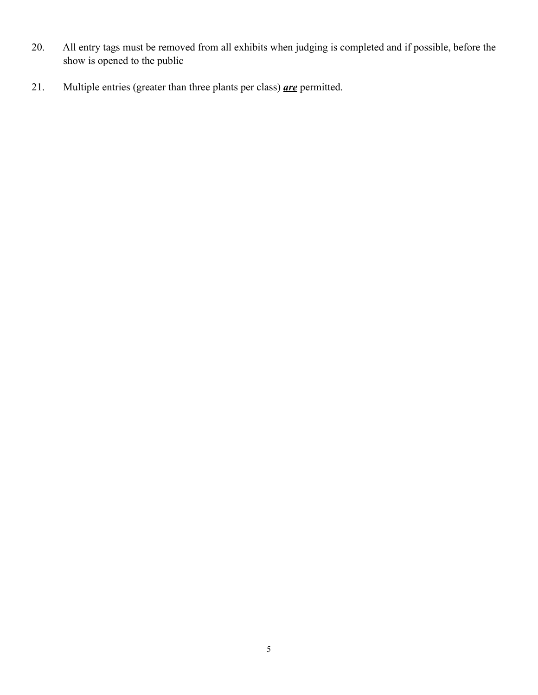- 20. All entry tags must be removed from all exhibits when judging is completed and if possible, before the show is opened to the public
- 21. Multiple entries (greater than three plants per class) *are* permitted.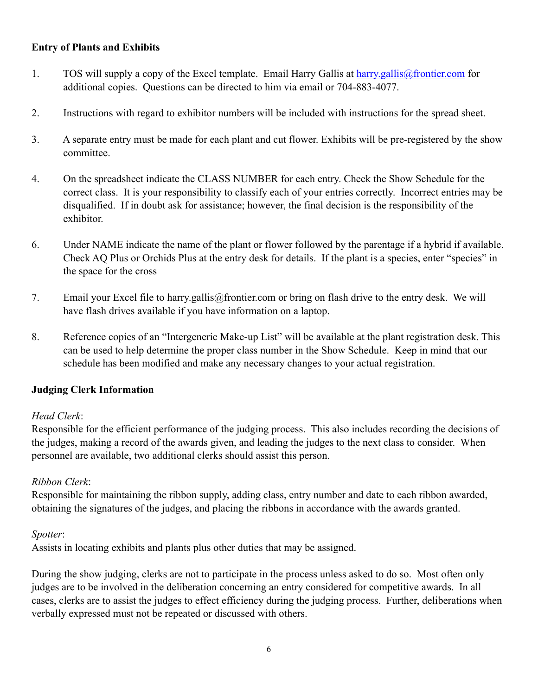#### **Entry of Plants and Exhibits**

- 1. TOS will supply a copy of the Excel template. Email Harry Gallis at [harry.gallis@frontier.com](mailto:harry.gallis@frontier.com) for additional copies. Questions can be directed to him via email or 704-883-4077.
- 2. Instructions with regard to exhibitor numbers will be included with instructions for the spread sheet.
- 3. A separate entry must be made for each plant and cut flower. Exhibits will be pre-registered by the show committee.
- 4. On the spreadsheet indicate the CLASS NUMBER for each entry. Check the Show Schedule for the correct class. It is your responsibility to classify each of your entries correctly. Incorrect entries may be disqualified. If in doubt ask for assistance; however, the final decision is the responsibility of the exhibitor.
- 6. Under NAME indicate the name of the plant or flower followed by the parentage if a hybrid if available. Check AQ Plus or Orchids Plus at the entry desk for details. If the plant is a species, enter "species" in the space for the cross
- 7. Email your Excel file to harry.gallis@frontier.com or bring on flash drive to the entry desk. We will have flash drives available if you have information on a laptop.
- 8. Reference copies of an "Intergeneric Make-up List" will be available at the plant registration desk. This can be used to help determine the proper class number in the Show Schedule. Keep in mind that our schedule has been modified and make any necessary changes to your actual registration.

#### **Judging Clerk Information**

#### *Head Clerk*:

Responsible for the efficient performance of the judging process. This also includes recording the decisions of the judges, making a record of the awards given, and leading the judges to the next class to consider. When personnel are available, two additional clerks should assist this person.

#### *Ribbon Clerk*:

Responsible for maintaining the ribbon supply, adding class, entry number and date to each ribbon awarded, obtaining the signatures of the judges, and placing the ribbons in accordance with the awards granted.

#### *Spotter*:

Assists in locating exhibits and plants plus other duties that may be assigned.

During the show judging, clerks are not to participate in the process unless asked to do so. Most often only judges are to be involved in the deliberation concerning an entry considered for competitive awards. In all cases, clerks are to assist the judges to effect efficiency during the judging process. Further, deliberations when verbally expressed must not be repeated or discussed with others.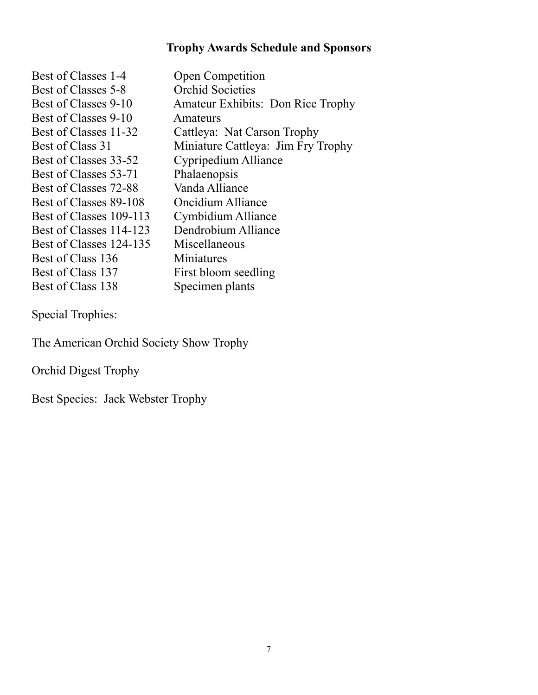# **Trophy Awards Schedule and Sponsors**

| <b>Orchid Societies</b><br>Best of Classes 5-8<br>Best of Classes 9-10<br><b>Amateur Exhibits: Don Rice Trophy</b><br>Best of Classes 9-10<br>Amateurs<br>Best of Classes 11-32<br>Cattleya: Nat Carson Trophy<br>Miniature Cattleya: Jim Fry Trophy<br>Best of Class 31<br>Cypripedium Alliance<br>Best of Classes 33-52<br>Best of Classes 53-71<br>Phalaenopsis |
|--------------------------------------------------------------------------------------------------------------------------------------------------------------------------------------------------------------------------------------------------------------------------------------------------------------------------------------------------------------------|
|                                                                                                                                                                                                                                                                                                                                                                    |
|                                                                                                                                                                                                                                                                                                                                                                    |
|                                                                                                                                                                                                                                                                                                                                                                    |
|                                                                                                                                                                                                                                                                                                                                                                    |
|                                                                                                                                                                                                                                                                                                                                                                    |
|                                                                                                                                                                                                                                                                                                                                                                    |
|                                                                                                                                                                                                                                                                                                                                                                    |
| Vanda Alliance<br>Best of Classes 72-88                                                                                                                                                                                                                                                                                                                            |
| Best of Classes 89-108<br>Oncidium Alliance                                                                                                                                                                                                                                                                                                                        |
| Cymbidium Alliance<br>Best of Classes 109-113                                                                                                                                                                                                                                                                                                                      |
| Dendrobium Alliance<br>Best of Classes 114-123                                                                                                                                                                                                                                                                                                                     |
| Best of Classes 124-135<br>Miscellaneous                                                                                                                                                                                                                                                                                                                           |
| Best of Class 136<br>Miniatures                                                                                                                                                                                                                                                                                                                                    |
| Best of Class 137<br>First bloom seedling                                                                                                                                                                                                                                                                                                                          |
| Best of Class 138<br>Specimen plants                                                                                                                                                                                                                                                                                                                               |

Special Trophies:

The American Orchid Society Show Trophy

Orchid Digest Trophy

Best Species: Jack Webster Trophy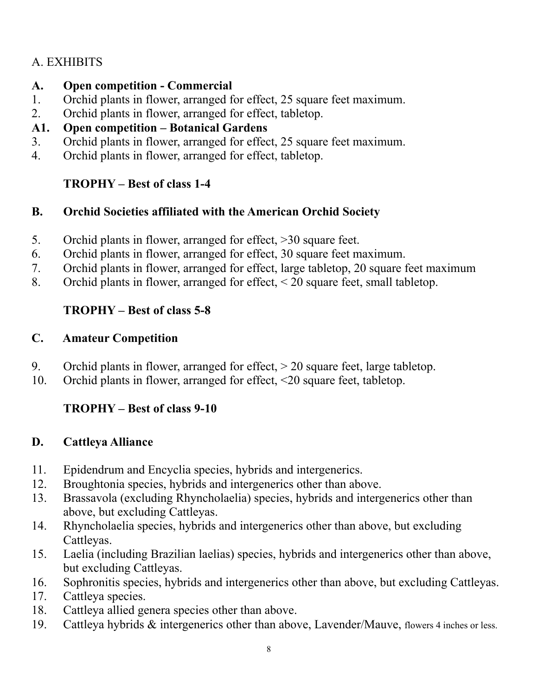# A. EXHIBITS

#### **A. Open competition - Commercial**

- 1. Orchid plants in flower, arranged for effect, 25 square feet maximum.
- 2. Orchid plants in flower, arranged for effect, tabletop.

# **A1. Open competition – Botanical Gardens**

- 3. Orchid plants in flower, arranged for effect, 25 square feet maximum.
- 4. Orchid plants in flower, arranged for effect, tabletop.

# **TROPHY – Best of class 1-4**

#### **B. Orchid Societies affiliated with the American Orchid Society**

- 5. Orchid plants in flower, arranged for effect, >30 square feet.
- 6. Orchid plants in flower, arranged for effect, 30 square feet maximum.
- 7. Orchid plants in flower, arranged for effect, large tabletop, 20 square feet maximum
- 8. Orchid plants in flower, arranged for effect, < 20 square feet, small tabletop.

#### **TROPHY – Best of class 5-8**

#### **C. Amateur Competition**

- 9. Orchid plants in flower, arranged for effect, > 20 square feet, large tabletop.
- 10. Orchid plants in flower, arranged for effect, <20 square feet, tabletop.

# **TROPHY – Best of class 9-10**

#### **D. Cattleya Alliance**

- 11. Epidendrum and Encyclia species, hybrids and intergenerics.
- 12. Broughtonia species, hybrids and intergenerics other than above.
- 13. Brassavola (excluding Rhyncholaelia) species, hybrids and intergenerics other than above, but excluding Cattleyas.
- 14. Rhyncholaelia species, hybrids and intergenerics other than above, but excluding Cattleyas.
- 15. Laelia (including Brazilian laelias) species, hybrids and intergenerics other than above, but excluding Cattleyas.
- 16. Sophronitis species, hybrids and intergenerics other than above, but excluding Cattleyas.
- 17. Cattleya species.
- 18. Cattleya allied genera species other than above.
- 19. Cattleya hybrids & intergenerics other than above, Lavender/Mauve, flowers 4 inches or less.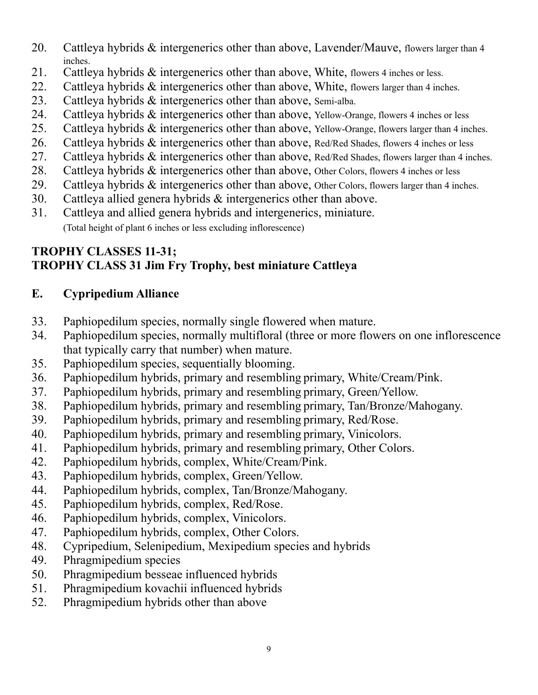- 20. Cattleya hybrids & intergenerics other than above, Lavender/Mauve, flowers larger than 4 inches.
- 21. Cattleya hybrids & intergenerics other than above, White, flowers 4 inches or less.
- 22. Cattleya hybrids & intergenerics other than above, White, flowers larger than 4 inches.
- 23. Cattleya hybrids & intergenerics other than above, Semi-alba.
- 24. Cattleya hybrids & intergenerics other than above, Yellow-Orange, flowers 4 inches or less
- 25. Cattleya hybrids & intergenerics other than above, Yellow-Orange, flowers larger than 4 inches.
- 26. Cattleya hybrids & intergenerics other than above, Red/Red Shades, flowers 4 inches or less
- 27. Cattleya hybrids & intergenerics other than above, Red/Red Shades, flowers larger than 4 inches.
- 28. Cattleya hybrids & intergenerics other than above, Other Colors, flowers 4 inches or less
- 29. Cattleya hybrids & intergenerics other than above, Other Colors, flowers larger than 4 inches.
- 30. Cattleya allied genera hybrids & intergenerics other than above.
- 31. Cattleya and allied genera hybrids and intergenerics, miniature. (Total height of plant 6 inches or less excluding inflorescence)

#### **TROPHY CLASSES 11-31; TROPHY CLASS 31 Jim Fry Trophy, best miniature Cattleya**

# **E. Cypripedium Alliance**

- 33. Paphiopedilum species, normally single flowered when mature.
- 34. Paphiopedilum species, normally multifloral (three or more flowers on one inflorescence that typically carry that number) when mature.
- 35. Paphiopedilum species, sequentially blooming.
- 36. Paphiopedilum hybrids, primary and resembling primary, White/Cream/Pink.
- 37. Paphiopedilum hybrids, primary and resembling primary, Green/Yellow.
- 38. Paphiopedilum hybrids, primary and resembling primary, Tan/Bronze/Mahogany.
- 39. Paphiopedilum hybrids, primary and resembling primary, Red/Rose.
- 40. Paphiopedilum hybrids, primary and resembling primary, Vinicolors.
- 41. Paphiopedilum hybrids, primary and resembling primary, Other Colors.
- 42. Paphiopedilum hybrids, complex, White/Cream/Pink.
- 43. Paphiopedilum hybrids, complex, Green/Yellow.
- 44. Paphiopedilum hybrids, complex, Tan/Bronze/Mahogany.
- 45. Paphiopedilum hybrids, complex, Red/Rose.
- 46. Paphiopedilum hybrids, complex, Vinicolors.
- 47. Paphiopedilum hybrids, complex, Other Colors.
- 48. Cypripedium, Selenipedium, Mexipedium species and hybrids
- 49. Phragmipedium species
- 50. Phragmipedium besseae influenced hybrids
- 51. Phragmipedium kovachii influenced hybrids
- 52. Phragmipedium hybrids other than above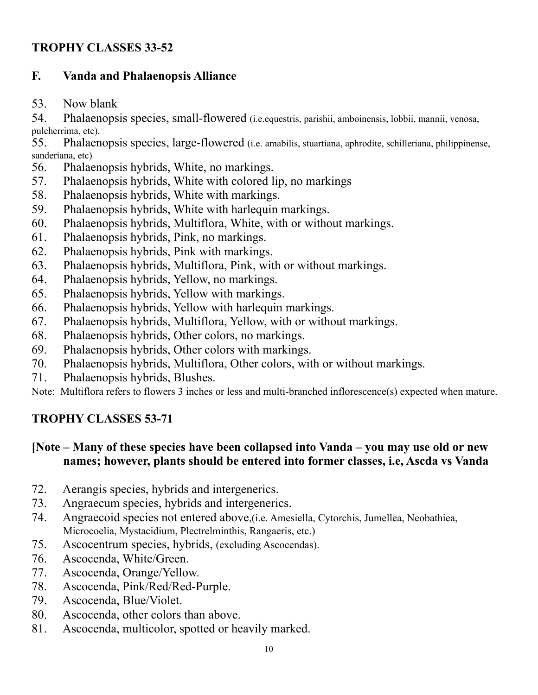#### **TROPHY CLASSES 33-52**

#### **F. Vanda and Phalaenopsis Alliance**

53. Now blank

54. Phalaenopsis species, small-flowered (i.e.equestris, parishii, amboinensis, lobbii, mannii, venosa, pulcherrima, etc).

55. Phalaenopsis species, large-flowered (i.e. amabilis, stuartiana, aphrodite, schilleriana, philippinense, sanderiana, etc)

- 56. Phalaenopsis hybrids, White, no markings.
- 57. Phalaenopsis hybrids, White with colored lip, no markings
- 58. Phalaenopsis hybrids, White with markings.
- 59. Phalaenopsis hybrids, White with harlequin markings.
- 60. Phalaenopsis hybrids, Multiflora, White, with or without markings.
- 61. Phalaenopsis hybrids, Pink, no markings.
- 62. Phalaenopsis hybrids, Pink with markings.
- 63. Phalaenopsis hybrids, Multiflora, Pink, with or without markings.
- 64. Phalaenopsis hybrids, Yellow, no markings.
- 65. Phalaenopsis hybrids, Yellow with markings.
- 66. Phalaenopsis hybrids, Yellow with harlequin markings.
- 67. Phalaenopsis hybrids, Multiflora, Yellow, with or without markings.
- 68. Phalaenopsis hybrids, Other colors, no markings.
- 69. Phalaenopsis hybrids, Other colors with markings.
- 70. Phalaenopsis hybrids, Multiflora, Other colors, with or without markings.
- 71. Phalaenopsis hybrids, Blushes.

Note: Multiflora refers to flowers 3 inches or less and multi-branched inflorescence(s) expected when mature.

# **TROPHY CLASSES 53-71**

#### **[Note – Many of these species have been collapsed into Vanda – you may use old or new names; however, plants should be entered into former classes, i.e, Ascda vs Vanda**

- 72. Aerangis species, hybrids and intergenerics.
- 73. Angraecum species, hybrids and intergenerics.
- 74. Angraecoid species not entered above,(i.e. Amesiella, Cytorchis, Jumellea, Neobathiea, Microcoelia, Mystacidium, Plectrelminthis, Rangaeris, etc.)
- 75. Ascocentrum species, hybrids, (excluding Ascocendas).
- 76. Ascocenda, White/Green.
- 77. Ascocenda, Orange/Yellow.
- 78. Ascocenda, Pink/Red/Red-Purple.
- 79. Ascocenda, Blue/Violet.
- 80. Ascocenda, other colors than above.
- 81. Ascocenda, multicolor, spotted or heavily marked.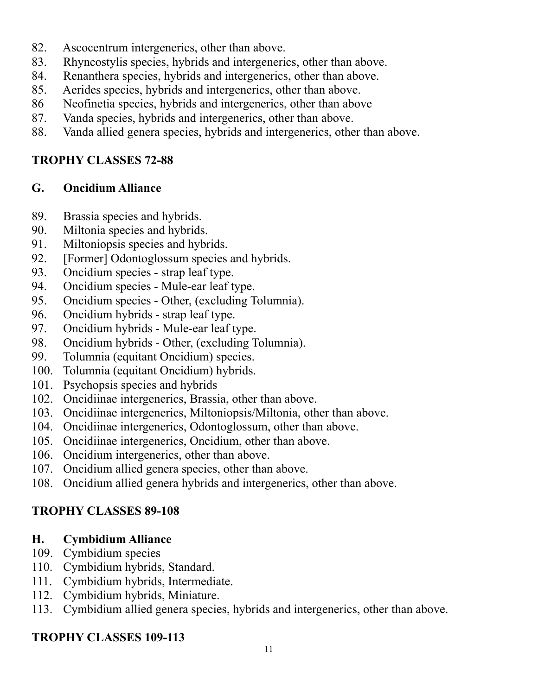- 82. Ascocentrum intergenerics, other than above.
- 83. Rhyncostylis species, hybrids and intergenerics, other than above.
- 84. Renanthera species, hybrids and intergenerics, other than above.
- 85. Aerides species, hybrids and intergenerics, other than above.
- 86 Neofinetia species, hybrids and intergenerics, other than above
- 87. Vanda species, hybrids and intergenerics, other than above.
- 88. Vanda allied genera species, hybrids and intergenerics, other than above.

#### **TROPHY CLASSES 72-88**

#### **G. Oncidium Alliance**

- 89. Brassia species and hybrids.
- 90. Miltonia species and hybrids.
- 91. Miltoniopsis species and hybrids.
- 92. [Former] Odontoglossum species and hybrids.
- 93. Oncidium species strap leaf type.
- 94. Oncidium species Mule-ear leaf type.
- 95. Oncidium species Other, (excluding Tolumnia).
- 96. Oncidium hybrids strap leaf type.
- 97. Oncidium hybrids Mule-ear leaf type.
- 98. Oncidium hybrids Other, (excluding Tolumnia).
- 99. Tolumnia (equitant Oncidium) species.
- 100. Tolumnia (equitant Oncidium) hybrids.
- 101. Psychopsis species and hybrids
- 102. Oncidiinae intergenerics, Brassia, other than above.
- 103. Oncidiinae intergenerics, Miltoniopsis/Miltonia, other than above.
- 104. Oncidiinae intergenerics, Odontoglossum, other than above.
- 105. Oncidiinae intergenerics, Oncidium, other than above.
- 106. Oncidium intergenerics, other than above.
- 107. Oncidium allied genera species, other than above.
- 108. Oncidium allied genera hybrids and intergenerics, other than above.

# **TROPHY CLASSES 89-108**

#### **H. Cymbidium Alliance**

- 109. Cymbidium species
- 110. Cymbidium hybrids, Standard.
- 111. Cymbidium hybrids, Intermediate.
- 112. Cymbidium hybrids, Miniature.
- 113. Cymbidium allied genera species, hybrids and intergenerics, other than above.

# **TROPHY CLASSES 109-113**